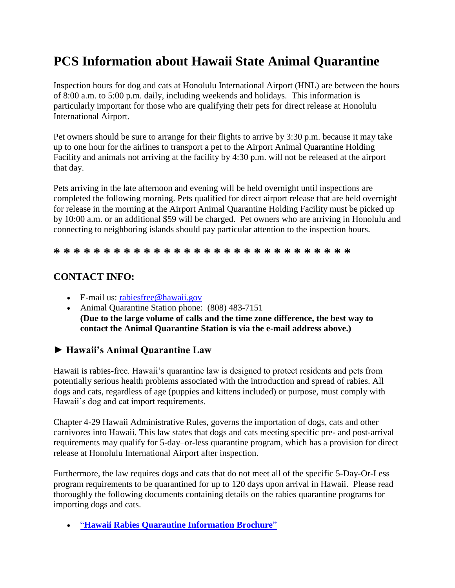# **PCS Information about Hawaii State Animal Quarantine**

Inspection hours for dog and cats at Honolulu International Airport (HNL) are between the hours of 8:00 a.m. to 5:00 p.m. daily, including weekends and holidays. This information is particularly important for those who are qualifying their pets for direct release at Honolulu International Airport.

Pet owners should be sure to arrange for their flights to arrive by 3:30 p.m. because it may take up to one hour for the airlines to transport a pet to the Airport Animal Quarantine Holding Facility and animals not arriving at the facility by 4:30 p.m. will not be released at the airport that day.

Pets arriving in the late afternoon and evening will be held overnight until inspections are completed the following morning. Pets qualified for direct airport release that are held overnight for release in the morning at the Airport Animal Quarantine Holding Facility must be picked up by 10:00 a.m. or an additional \$59 will be charged. Pet owners who are arriving in Honolulu and connecting to neighboring islands should pay particular attention to the inspection hours.

**\* \* \* \* \* \* \* \* \* \* \* \* \* \* \* \* \* \* \* \* \* \* \* \* \* \* \* \* \* \***

# **CONTACT INFO:**

- E-mail us: [rabiesfree@hawaii.gov](mailto:rabiesfree@hawaii.gov)
- Animal Quarantine Station phone: (808) 483-7151 **(Due to the large volume of calls and the time zone difference, the best way to contact the Animal Quarantine Station is via the e-mail address above.)**

# **► Hawaii's Animal Quarantine Law**

Hawaii is rabies-free. Hawaii's quarantine law is designed to protect residents and pets from potentially serious health problems associated with the introduction and spread of rabies. All dogs and cats, regardless of age (puppies and kittens included) or purpose, must comply with Hawaii's dog and cat import requirements.

Chapter 4-29 Hawaii Administrative Rules, governs the importation of dogs, cats and other carnivores into Hawaii. This law states that dogs and cats meeting specific pre- and post-arrival requirements may qualify for 5-day–or-less quarantine program, which has a provision for direct release at Honolulu International Airport after inspection.

Furthermore, the law requires dogs and cats that do not meet all of the specific 5-Day-Or-Less program requirements to be quarantined for up to 120 days upon arrival in Hawaii. Please read thoroughly the following documents containing details on the rabies quarantine programs for importing dogs and cats.

"**[Hawaii Rabies Quarantine Information Brochure](https://hdoa.hawaii.gov/ai/files/2013/01/aqsbrochure-17.pdf)**"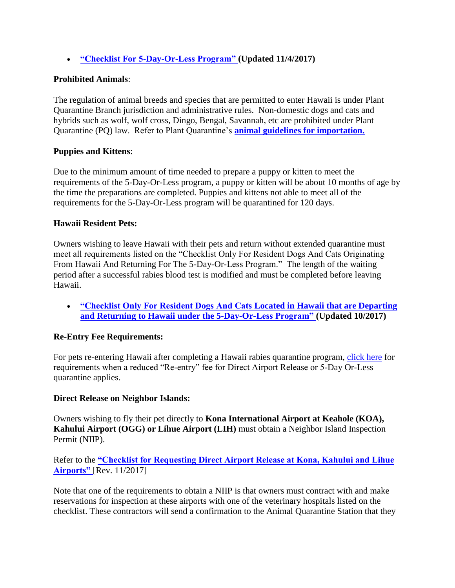**["Checklist For 5-Day-Or-Less Program"](https://hdoa.hawaii.gov/ai/files/2013/01/5-Day-Checklist-11-2017.pdf) (Updated 11/4/2017)**

## **Prohibited Animals**:

The regulation of animal breeds and species that are permitted to enter Hawaii is under Plant Quarantine Branch jurisdiction and administrative rules. Non-domestic dogs and cats and hybrids such as wolf, wolf cross, Dingo, Bengal, Savannah, etc are prohibited under Plant Quarantine (PQ) law. Refer to Plant Quarantine's **[animal guidelines for importation.](http://hdoa.hawaii.gov/pi/pq/import-program/animal-guidelines/)**

# **Puppies and Kittens**:

Due to the minimum amount of time needed to prepare a puppy or kitten to meet the requirements of the 5-Day-Or-Less program, a puppy or kitten will be about 10 months of age by the time the preparations are completed. Puppies and kittens not able to meet all of the requirements for the 5-Day-Or-Less program will be quarantined for 120 days.

#### **Hawaii Resident Pets:**

Owners wishing to leave Hawaii with their pets and return without extended quarantine must meet all requirements listed on the "Checklist Only For Resident Dogs And Cats Originating From Hawaii And Returning For The 5-Day-Or-Less Program." The length of the waiting period after a successful rabies blood test is modified and must be completed before leaving Hawaii.

 **["Checklist Only For Resident Dogs And Cats](https://hdoa.hawaii.gov/ai/files/2013/01/aqs-checklist-residing-HI-17.pdf) Located in Hawaii that are Departing and Returning to Hawaii under the [5-Day-Or-Less Program"](https://hdoa.hawaii.gov/ai/files/2013/01/aqs-checklist-residing-HI-17.pdf) (Updated 10/2017)**

# **Re-Entry Fee Requirements:**

For pets re-entering Hawaii after completing a Hawaii rabies quarantine program, [click here](http://hdoa.hawaii.gov/ai/home/aqs/animal-quarantine-information-page/re-entry-fee-requirements/) for requirements when a reduced "Re-entry" fee for Direct Airport Release or 5-Day Or-Less quarantine applies.

#### **Direct Release on Neighbor Islands:**

Owners wishing to fly their pet directly to **Kona International Airport at Keahole (KOA), Kahului Airport (OGG) or Lihue Airport (LIH)** must obtain a Neighbor Island Inspection Permit (NIIP).

Refer to the **["Checklist for Requesting Direct Airport Release at Kona, Kahului and Lihue](https://hdoa.hawaii.gov/ai/files/2013/01/Checklist-for-Requesting-Direct-Airport-Release-at-Neighbor-Island-Nov_2017.pdf)  [Airports"](https://hdoa.hawaii.gov/ai/files/2013/01/Checklist-for-Requesting-Direct-Airport-Release-at-Neighbor-Island-Nov_2017.pdf)** [Rev. 11/2017]

Note that one of the requirements to obtain a NIIP is that owners must contract with and make reservations for inspection at these airports with one of the veterinary hospitals listed on the checklist. These contractors will send a confirmation to the Animal Quarantine Station that they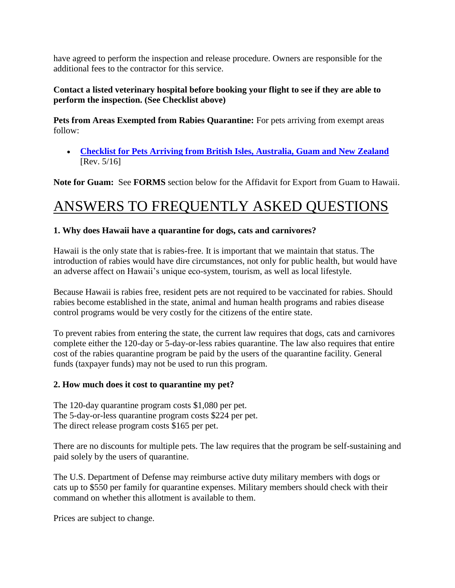have agreed to perform the inspection and release procedure. Owners are responsible for the additional fees to the contractor for this service.

# **Contact a listed veterinary hospital before booking your flight to see if they are able to perform the inspection. (See Checklist above)**

**Pets from Areas Exempted from Rabies Quarantine:** For pets arriving from exempt areas follow:

 **[Checklist for Pets Arriving from British Isles, Australia, Guam and New Zealand](http://hdoa.hawaii.gov/ai/files/2013/01/aqs-checklist-exempt_New_-Revised-05-09-2016.pdf)** [Rev. 5/16]

**Note for Guam:** See **FORMS** section below for the Affidavit for Export from Guam to Hawaii.

# ANSWERS TO FREQUENTLY ASKED QUESTIONS

# **1. Why does Hawaii have a quarantine for dogs, cats and carnivores?**

Hawaii is the only state that is rabies-free. It is important that we maintain that status. The introduction of rabies would have dire circumstances, not only for public health, but would have an adverse affect on Hawaii's unique eco-system, tourism, as well as local lifestyle.

Because Hawaii is rabies free, resident pets are not required to be vaccinated for rabies. Should rabies become established in the state, animal and human health programs and rabies disease control programs would be very costly for the citizens of the entire state.

To prevent rabies from entering the state, the current law requires that dogs, cats and carnivores complete either the 120-day or 5-day-or-less rabies quarantine. The law also requires that entire cost of the rabies quarantine program be paid by the users of the quarantine facility. General funds (taxpayer funds) may not be used to run this program.

# **2. How much does it cost to quarantine my pet?**

The 120-day quarantine program costs \$1,080 per pet. The 5-day-or-less quarantine program costs \$224 per pet. The direct release program costs \$165 per pet.

There are no discounts for multiple pets. The law requires that the program be self-sustaining and paid solely by the users of quarantine.

The U.S. Department of Defense may reimburse active duty military members with dogs or cats up to \$550 per family for quarantine expenses. Military members should check with their command on whether this allotment is available to them.

Prices are subject to change.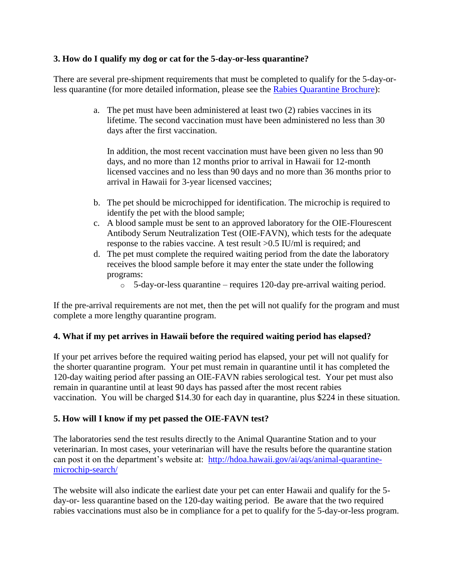### **3. How do I qualify my dog or cat for the 5-day-or-less quarantine?**

There are several pre-shipment requirements that must be completed to qualify for the 5-day-orless quarantine (for more detailed information, please see the [Rabies Quarantine Brochure\)](http://hdoa.hawaii.gov/ai/files/2013/01/aqsbrochure.pdf):

> a. The pet must have been administered at least two (2) rabies vaccines in its lifetime. The second vaccination must have been administered no less than 30 days after the first vaccination.

In addition, the most recent vaccination must have been given no less than 90 days, and no more than 12 months prior to arrival in Hawaii for 12-month licensed vaccines and no less than 90 days and no more than 36 months prior to arrival in Hawaii for 3-year licensed vaccines;

- b. The pet should be microchipped for identification. The microchip is required to identify the pet with the blood sample;
- c. A blood sample must be sent to an approved laboratory for the OIE-Flourescent Antibody Serum Neutralization Test (OIE-FAVN), which tests for the adequate response to the rabies vaccine. A test result >0.5 IU/ml is required; and
- d. The pet must complete the required waiting period from the date the laboratory receives the blood sample before it may enter the state under the following programs:
	- o 5-day-or-less quarantine requires 120-day pre-arrival waiting period.

If the pre-arrival requirements are not met, then the pet will not qualify for the program and must complete a more lengthy quarantine program.

# **4. What if my pet arrives in Hawaii before the required waiting period has elapsed?**

If your pet arrives before the required waiting period has elapsed, your pet will not qualify for the shorter quarantine program. Your pet must remain in quarantine until it has completed the 120-day waiting period after passing an OIE-FAVN rabies serological test. Your pet must also remain in quarantine until at least 90 days has passed after the most recent rabies vaccination. You will be charged \$14.30 for each day in quarantine, plus \$224 in these situation.

# **5. How will I know if my pet passed the OIE-FAVN test?**

The laboratories send the test results directly to the Animal Quarantine Station and to your veterinarian. In most cases, your veterinarian will have the results before the quarantine station can post it on the department's website at: [http://hdoa.hawaii.gov/ai/aqs/animal-quarantine](http://hdoa.hawaii.gov/ai/aqs/animal-quarantine-microchip-search/)[microchip-search/](http://hdoa.hawaii.gov/ai/aqs/animal-quarantine-microchip-search/)

The website will also indicate the earliest date your pet can enter Hawaii and qualify for the 5 day-or- less quarantine based on the 120-day waiting period. Be aware that the two required rabies vaccinations must also be in compliance for a pet to qualify for the 5-day-or-less program.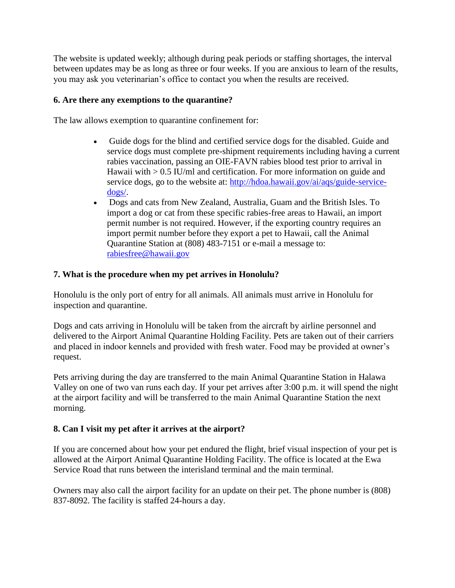The website is updated weekly; although during peak periods or staffing shortages, the interval between updates may be as long as three or four weeks. If you are anxious to learn of the results, you may ask you veterinarian's office to contact you when the results are received.

#### **6. Are there any exemptions to the quarantine?**

The law allows exemption to quarantine confinement for:

- Guide dogs for the blind and certified service dogs for the disabled. Guide and service dogs must complete pre-shipment requirements including having a current rabies vaccination, passing an OIE-FAVN rabies blood test prior to arrival in Hawaii with > 0.5 IU/ml and certification. For more information on guide and service dogs, go to the website at: [http://hdoa.hawaii.gov/ai/aqs/guide-service](http://hdoa.hawaii.gov/ai/aqs/guide-service-dogs/)[dogs/.](http://hdoa.hawaii.gov/ai/aqs/guide-service-dogs/)
- Dogs and cats from New Zealand, Australia, Guam and the British Isles. To import a dog or cat from these specific rabies-free areas to Hawaii, an import permit number is not required. However, if the exporting country requires an import permit number before they export a pet to Hawaii, call the Animal Quarantine Station at (808) 483-7151 or e-mail a message to: [rabiesfree@hawaii.gov](mailto:rabiesfree@hawaii.gov?subject=Import%20Permit)

# **7. What is the procedure when my pet arrives in Honolulu?**

Honolulu is the only port of entry for all animals. All animals must arrive in Honolulu for inspection and quarantine.

Dogs and cats arriving in Honolulu will be taken from the aircraft by airline personnel and delivered to the Airport Animal Quarantine Holding Facility. Pets are taken out of their carriers and placed in indoor kennels and provided with fresh water. Food may be provided at owner's request.

Pets arriving during the day are transferred to the main Animal Quarantine Station in Halawa Valley on one of two van runs each day. If your pet arrives after 3:00 p.m. it will spend the night at the airport facility and will be transferred to the main Animal Quarantine Station the next morning.

# **8. Can I visit my pet after it arrives at the airport?**

If you are concerned about how your pet endured the flight, brief visual inspection of your pet is allowed at the Airport Animal Quarantine Holding Facility. The office is located at the Ewa Service Road that runs between the interisland terminal and the main terminal.

Owners may also call the airport facility for an update on their pet. The phone number is (808) 837-8092. The facility is staffed 24-hours a day.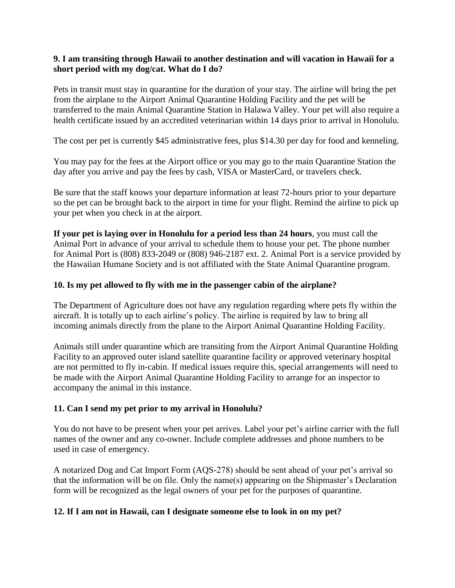#### **9. I am transiting through Hawaii to another destination and will vacation in Hawaii for a short period with my dog/cat. What do I do?**

Pets in transit must stay in quarantine for the duration of your stay. The airline will bring the pet from the airplane to the Airport Animal Quarantine Holding Facility and the pet will be transferred to the main Animal Quarantine Station in Halawa Valley. Your pet will also require a health certificate issued by an accredited veterinarian within 14 days prior to arrival in Honolulu.

The cost per pet is currently \$45 administrative fees, plus \$14.30 per day for food and kenneling.

You may pay for the fees at the Airport office or you may go to the main Quarantine Station the day after you arrive and pay the fees by cash, VISA or MasterCard, or travelers check.

Be sure that the staff knows your departure information at least 72-hours prior to your departure so the pet can be brought back to the airport in time for your flight. Remind the airline to pick up your pet when you check in at the airport.

**If your pet is laying over in Honolulu for a period less than 24 hours**, you must call the Animal Port in advance of your arrival to schedule them to house your pet. The phone number for Animal Port is (808) 833-2049 or (808) 946-2187 ext. 2. Animal Port is a service provided by the Hawaiian Humane Society and is not affiliated with the State Animal Quarantine program.

#### **10. Is my pet allowed to fly with me in the passenger cabin of the airplane?**

The Department of Agriculture does not have any regulation regarding where pets fly within the aircraft. It is totally up to each airline's policy. The airline is required by law to bring all incoming animals directly from the plane to the Airport Animal Quarantine Holding Facility.

Animals still under quarantine which are transiting from the Airport Animal Quarantine Holding Facility to an approved outer island satellite quarantine facility or approved veterinary hospital are not permitted to fly in-cabin. If medical issues require this, special arrangements will need to be made with the Airport Animal Quarantine Holding Facility to arrange for an inspector to accompany the animal in this instance.

#### **11. Can I send my pet prior to my arrival in Honolulu?**

You do not have to be present when your pet arrives. Label your pet's airline carrier with the full names of the owner and any co-owner. Include complete addresses and phone numbers to be used in case of emergency.

A notarized Dog and Cat Import Form (AQS-278) should be sent ahead of your pet's arrival so that the information will be on file. Only the name(s) appearing on the Shipmaster's Declaration form will be recognized as the legal owners of your pet for the purposes of quarantine.

#### **12. If I am not in Hawaii, can I designate someone else to look in on my pet?**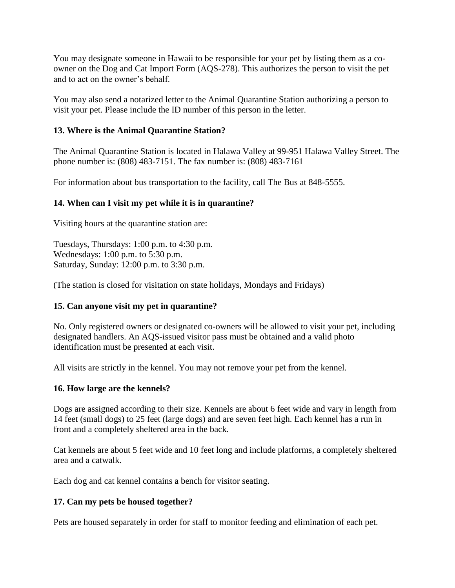You may designate someone in Hawaii to be responsible for your pet by listing them as a coowner on the Dog and Cat Import Form (AQS-278). This authorizes the person to visit the pet and to act on the owner's behalf.

You may also send a notarized letter to the Animal Quarantine Station authorizing a person to visit your pet. Please include the ID number of this person in the letter.

#### **13. Where is the Animal Quarantine Station?**

The Animal Quarantine Station is located in Halawa Valley at 99-951 Halawa Valley Street. The phone number is: (808) 483-7151. The fax number is: (808) 483-7161

For information about bus transportation to the facility, call The Bus at 848-5555.

#### **14. When can I visit my pet while it is in quarantine?**

Visiting hours at the quarantine station are:

Tuesdays, Thursdays: 1:00 p.m. to 4:30 p.m. Wednesdays: 1:00 p.m. to 5:30 p.m. Saturday, Sunday: 12:00 p.m. to 3:30 p.m.

(The station is closed for visitation on state holidays, Mondays and Fridays)

#### **15. Can anyone visit my pet in quarantine?**

No. Only registered owners or designated co-owners will be allowed to visit your pet, including designated handlers. An AQS-issued visitor pass must be obtained and a valid photo identification must be presented at each visit.

All visits are strictly in the kennel. You may not remove your pet from the kennel.

#### **16. How large are the kennels?**

Dogs are assigned according to their size. Kennels are about 6 feet wide and vary in length from 14 feet (small dogs) to 25 feet (large dogs) and are seven feet high. Each kennel has a run in front and a completely sheltered area in the back.

Cat kennels are about 5 feet wide and 10 feet long and include platforms, a completely sheltered area and a catwalk.

Each dog and cat kennel contains a bench for visitor seating.

#### **17. Can my pets be housed together?**

Pets are housed separately in order for staff to monitor feeding and elimination of each pet.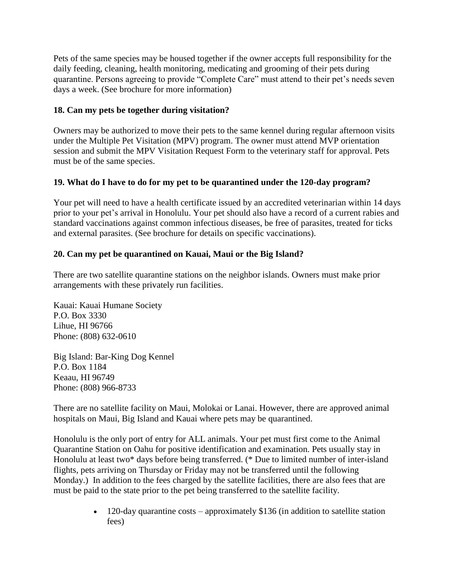Pets of the same species may be housed together if the owner accepts full responsibility for the daily feeding, cleaning, health monitoring, medicating and grooming of their pets during quarantine. Persons agreeing to provide "Complete Care" must attend to their pet's needs seven days a week. (See brochure for more information)

# **18. Can my pets be together during visitation?**

Owners may be authorized to move their pets to the same kennel during regular afternoon visits under the Multiple Pet Visitation (MPV) program. The owner must attend MVP orientation session and submit the MPV Visitation Request Form to the veterinary staff for approval. Pets must be of the same species.

# **19. What do I have to do for my pet to be quarantined under the 120-day program?**

Your pet will need to have a health certificate issued by an accredited veterinarian within 14 days prior to your pet's arrival in Honolulu. Your pet should also have a record of a current rabies and standard vaccinations against common infectious diseases, be free of parasites, treated for ticks and external parasites. (See brochure for details on specific vaccinations).

# **20. Can my pet be quarantined on Kauai, Maui or the Big Island?**

There are two satellite quarantine stations on the neighbor islands. Owners must make prior arrangements with these privately run facilities.

Kauai: Kauai Humane Society P.O. Box 3330 Lihue, HI 96766 Phone: (808) 632-0610

Big Island: Bar-King Dog Kennel P.O. Box 1184 Keaau, HI 96749 Phone: (808) 966-8733

There are no satellite facility on Maui, Molokai or Lanai. However, there are approved animal hospitals on Maui, Big Island and Kauai where pets may be quarantined.

Honolulu is the only port of entry for ALL animals. Your pet must first come to the Animal Quarantine Station on Oahu for positive identification and examination. Pets usually stay in Honolulu at least two\* days before being transferred. (\* Due to limited number of inter-island flights, pets arriving on Thursday or Friday may not be transferred until the following Monday.) In addition to the fees charged by the satellite facilities, there are also fees that are must be paid to the state prior to the pet being transferred to the satellite facility.

> $\bullet$  120-day quarantine costs – approximately \$136 (in addition to satellite station fees)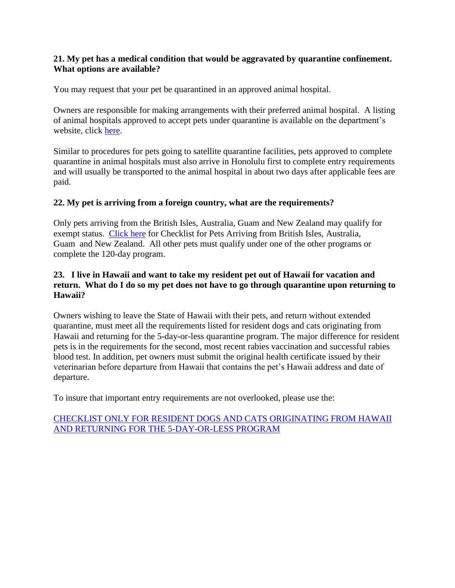#### **21. My pet has a medical condition that would be aggravated by quarantine confinement. What options are available?**

You may request that your pet be quarantined in an approved animal hospital.

Owners are responsible for making arrangements with their preferred animal hospital. A listing of animal hospitals approved to accept pets under quarantine is available on the department's website, click [here.](http://hdoa.hawaii.gov/ai/files/2013/01/AQS-20-01-2014.pdf)

Similar to procedures for pets going to satellite quarantine facilities, pets approved to complete quarantine in animal hospitals must also arrive in Honolulu first to complete entry requirements and will usually be transported to the animal hospital in about two days after applicable fees are paid.

#### **22. My pet is arriving from a foreign country, what are the requirements?**

Only pets arriving from the British Isles, Australia, Guam and New Zealand may qualify for exempt status. [Click here](http://hdoa.hawaii.gov/ai/files/2013/01/aqs-checklist-exempt.pdf) for Checklist for Pets Arriving from British Isles, Australia, Guam and New Zealand. All other pets must qualify under one of the other programs or complete the 120-day program.

# **23. I live in Hawaii and want to take my resident pet out of Hawaii for vacation and return. What do I do so my pet does not have to go through quarantine upon returning to Hawaii?**

Owners wishing to leave the State of Hawaii with their pets, and return without extended quarantine, must meet all the requirements listed for resident dogs and cats originating from Hawaii and returning for the 5-day-or-less quarantine program. The major difference for resident pets is in the requirements for the second, most recent rabies vaccination and successful rabies blood test. In addition, pet owners must submit the original health certificate issued by their veterinarian before departure from Hawaii that contains the pet's Hawaii address and date of departure.

To insure that important entry requirements are not overlooked, please use the:

#### [CHECKLIST ONLY FOR RESIDENT DOGS AND CATS ORIGINATING FROM HAWAII](http://hdoa.hawaii.gov/ai/files/2013/01/aqs-checklist-resident.pdf)  [AND RETURNING FOR THE 5-DAY-OR-LESS PROGRAM](http://hdoa.hawaii.gov/ai/files/2013/01/aqs-checklist-resident.pdf)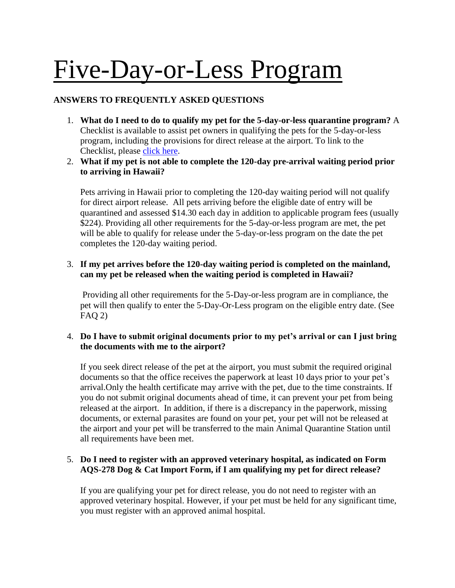# Five-Day-or-Less Program

# **ANSWERS TO FREQUENTLY ASKED QUESTIONS**

- 1. **What do I need to do to qualify my pet for the 5-day-or-less quarantine program?** A Checklist is available to assist pet owners in qualifying the pets for the 5-day-or-less program, including the provisions for direct release at the airport. To link to the Checklist, please [click here.](https://hdoa.hawaii.gov/ai/files/2013/01/5-Day-Checklist-11-2016.pdf)
- 2. **What if my pet is not able to complete the 120-day pre-arrival waiting period prior to arriving in Hawaii?**

Pets arriving in Hawaii prior to completing the 120-day waiting period will not qualify for direct airport release. All pets arriving before the eligible date of entry will be quarantined and assessed \$14.30 each day in addition to applicable program fees (usually \$224). Providing all other requirements for the 5-day-or-less program are met, the pet will be able to qualify for release under the 5-day-or-less program on the date the pet completes the 120-day waiting period.

#### 3. **If my pet arrives before the 120-day waiting period is completed on the mainland, can my pet be released when the waiting period is completed in Hawaii?**

Providing all other requirements for the 5-Day-or-less program are in compliance, the pet will then qualify to enter the 5-Day-Or-Less program on the eligible entry date. (See  $FAO(2)$ 

# 4. **Do I have to submit original documents prior to my pet's arrival or can I just bring the documents with me to the airport?**

If you seek direct release of the pet at the airport, you must submit the required original documents so that the office receives the paperwork at least 10 days prior to your pet's arrival.Only the health certificate may arrive with the pet, due to the time constraints. If you do not submit original documents ahead of time, it can prevent your pet from being released at the airport. In addition, if there is a discrepancy in the paperwork, missing documents, or external parasites are found on your pet, your pet will not be released at the airport and your pet will be transferred to the main Animal Quarantine Station until all requirements have been met.

#### 5. **Do I need to register with an approved veterinary hospital, as indicated on Form AQS-278 Dog & Cat Import Form, if I am qualifying my pet for direct release?**

If you are qualifying your pet for direct release, you do not need to register with an approved veterinary hospital. However, if your pet must be held for any significant time, you must register with an approved animal hospital.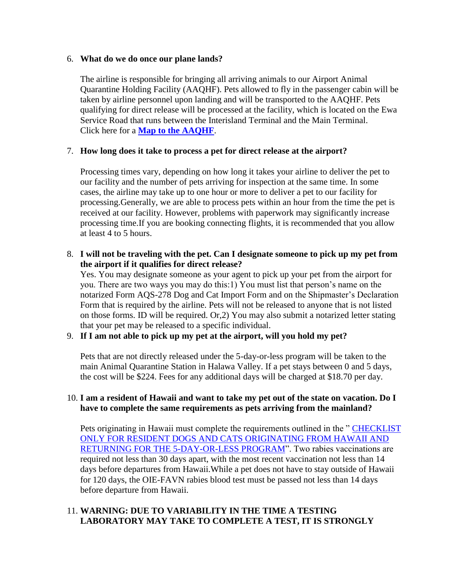#### 6. **What do we do once our plane lands?**

The airline is responsible for bringing all arriving animals to our Airport Animal Quarantine Holding Facility (AAQHF). Pets allowed to fly in the passenger cabin will be taken by airline personnel upon landing and will be transported to the AAQHF. Pets qualifying for direct release will be processed at the facility, which is located on the Ewa Service Road that runs between the Interisland Terminal and the Main Terminal. Click here for a **[Map to the AAQHF](http://hdoa.hawaii.gov/ai/files/2013/01/Map-to-AAHQF-2009.pdf)**.

#### 7. **How long does it take to process a pet for direct release at the airport?**

Processing times vary, depending on how long it takes your airline to deliver the pet to our facility and the number of pets arriving for inspection at the same time. In some cases, the airline may take up to one hour or more to deliver a pet to our facility for processing.Generally, we are able to process pets within an hour from the time the pet is received at our facility. However, problems with paperwork may significantly increase processing time.If you are booking connecting flights, it is recommended that you allow at least 4 to 5 hours.

#### 8. **I will not be traveling with the pet. Can I designate someone to pick up my pet from the airport if it qualifies for direct release?**

Yes. You may designate someone as your agent to pick up your pet from the airport for you. There are two ways you may do this:1) You must list that person's name on the notarized Form AQS-278 Dog and Cat Import Form and on the Shipmaster's Declaration Form that is required by the airline. Pets will not be released to anyone that is not listed on those forms. ID will be required. Or,2) You may also submit a notarized letter stating that your pet may be released to a specific individual.

# 9. **If I am not able to pick up my pet at the airport, will you hold my pet?**

Pets that are not directly released under the 5-day-or-less program will be taken to the main Animal Quarantine Station in Halawa Valley. If a pet stays between 0 and 5 days, the cost will be \$224. Fees for any additional days will be charged at \$18.70 per day.

#### 10. **I am a resident of Hawaii and want to take my pet out of the state on vacation. Do I have to complete the same requirements as pets arriving from the mainland?**

Pets originating in Hawaii must complete the requirements outlined in the " [CHECKLIST](http://hdoa.hawaii.gov/ai/files/2013/01/aqs-checklist-resident.pdf)  [ONLY FOR RESIDENT DOGS AND CATS ORIGINATING FROM HAWAII AND](http://hdoa.hawaii.gov/ai/files/2013/01/aqs-checklist-resident.pdf)  [RETURNING FOR THE 5-DAY-OR-LESS PROGRAM"](http://hdoa.hawaii.gov/ai/files/2013/01/aqs-checklist-resident.pdf). Two rabies vaccinations are required not less than 30 days apart, with the most recent vaccination not less than 14 days before departures from Hawaii.While a pet does not have to stay outside of Hawaii for 120 days, the OIE-FAVN rabies blood test must be passed not less than 14 days before departure from Hawaii.

#### 11. **WARNING: DUE TO VARIABILITY IN THE TIME A TESTING LABORATORY MAY TAKE TO COMPLETE A TEST, IT IS STRONGLY**